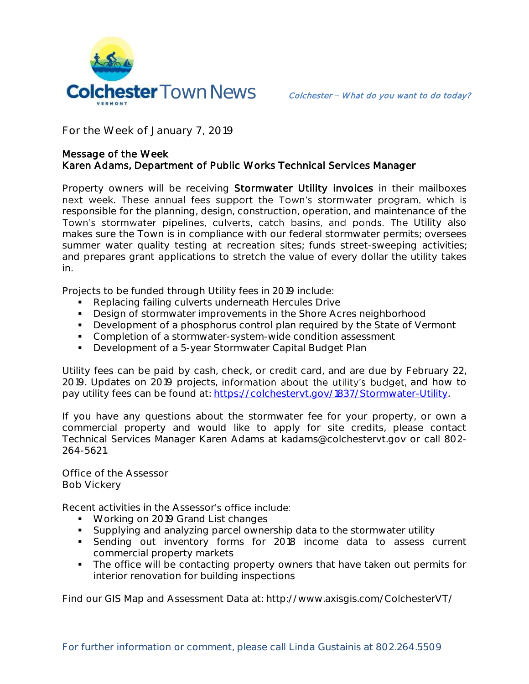

**For the Week of January 7, 2019**

## Message of the Week Karen Adams, Department of Public Works Technical Services Manager

Property owners will be receiving Stormwater Utility invoices in their mailboxes next week. These annual fees support the Town's stormwater program, which is responsible for the planning, design, construction, operation, and maintenance of the Town's stormwater pipelines, culverts, catch basins, and ponds. The Utility also makes sure the Town is in compliance with our federal stormwater permits; oversees summer water quality testing at recreation sites; funds street-sweeping activities; and prepares grant applications to stretch the value of every dollar the utility takes in.

Projects to be funded through Utility fees in 2019 include:

- **Replacing failing culverts underneath Hercules Drive**
- **Design of stormwater improvements in the Shore Acres neighborhood**
- Development of a phosphorus control plan required by the State of Vermont
- **Completion of a stormwater-system-wide condition assessment**
- **Development of a 5-year Stormwater Capital Budget Plan**

Utility fees can be paid by cash, check, or credit card, and are due by February 22, 2019. Updates on 2019 projects, information about the utility's budget, and how to pay utility fees can be found at: [https://colchestervt.gov/1837/Stormwater-Utility.](https://colchestervt.gov/1837/Stormwater-Utility)

If you have any questions about the stormwater fee for your property, or own a commercial property and would like to apply for site credits, please contact Technical Services Manager Karen Adams at kadams@colchestervt.gov or call 802- 264-5621.

**Office of the Assessor Bob Vickery**

Recent activities in the Assessor's office include:

- **Working on 2019 Grand List changes**
- Supplying and analyzing parcel ownership data to the stormwater utility
- Sending out inventory forms for 2018 income data to assess current commercial property markets
- **The office will be contacting property owners that have taken out permits for** interior renovation for building inspections

Find our GIS Map and Assessment Data at: http://www.axisgis.com/ColchesterVT/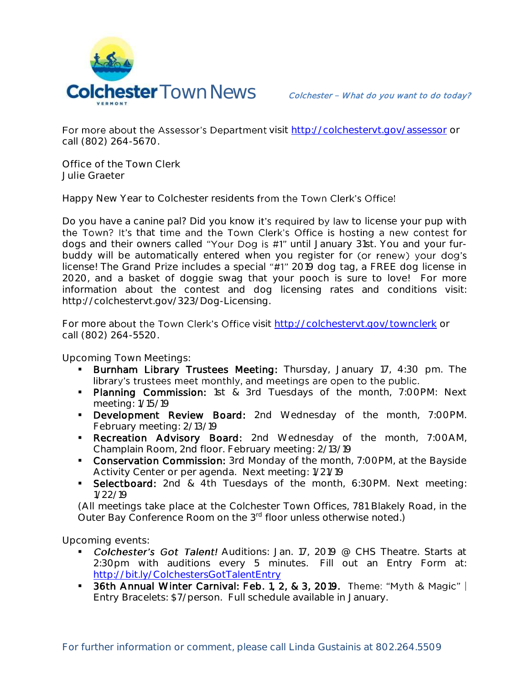

For more about the Assessor's Department visit<http://colchestervt.gov/assessor> or call (802) 264-5670.

**Office of the Town Clerk Julie Graeter**

Happy New Year to Colchester residents from the Town Clerk's Office!

Do you have a canine pal? Did you know it's required by law to license your pup with the Town? It's that time and the Town Clerk's Office is hosting a new contest for dogs and their owners called "Your Dog is #1" until January 31st. You and your furbuddy will be automatically entered when you register for (or renew) your dog's license! The Grand Prize includes a special "#1" 2019 dog tag, a FREE dog license in 2020, and a basket of doggie swag that your pooch is sure to love! For more information about the contest and dog licensing rates and conditions visit: http://colchestervt.gov/323/Dog-Licensing.

For more about the Town Clerk's Office visit <http://colchestervt.gov/townclerk> or call (802) 264-5520.

**Upcoming Town Meetings:** 

- **Burnham Library Trustees Meeting:** Thursday, January 17, 4:30 pm. The library's trustees meet monthly, and meetings are open to the public.
- **Planning Commission:** 1st & 3rd Tuesdays of the month, 7:00PM: Next meeting: 1/15/19
- **Development Review Board:** 2nd Wednesday of the month, 7:00PM. February meeting: 2/13/19
- **Recreation Advisory Board:** 2nd Wednesday of the month, 7:00AM, Champlain Room, 2nd floor. February meeting: 2/13/19
- **Conservation Commission:** 3rd Monday of the month, 7:00PM, at the Bayside Activity Center or per agenda. Next meeting: 1/21/19
- **Selectboard:** 2nd & 4th Tuesdays of the month, 6:30PM. Next meeting: 1/22/19

(All meetings take place at the Colchester Town Offices, 781 Blakely Road, in the Outer Bay Conference Room on the 3<sup>rd</sup> floor unless otherwise noted.)

**Upcoming events:** 

- Colchester's Got Talent! Auditions: Jan. 17, 2019 @ CHS Theatre. Starts at 2:30pm with auditions every 5 minutes. Fill out an Entry Form at: <http://bit.ly/ColchestersGotTalentEntry>
- **36th Annual Winter Carnival: Feb. 1, 2, & 3, 2019.** Theme: "Myth & Magic" | Entry Bracelets: \$7/person. Full schedule available in January.